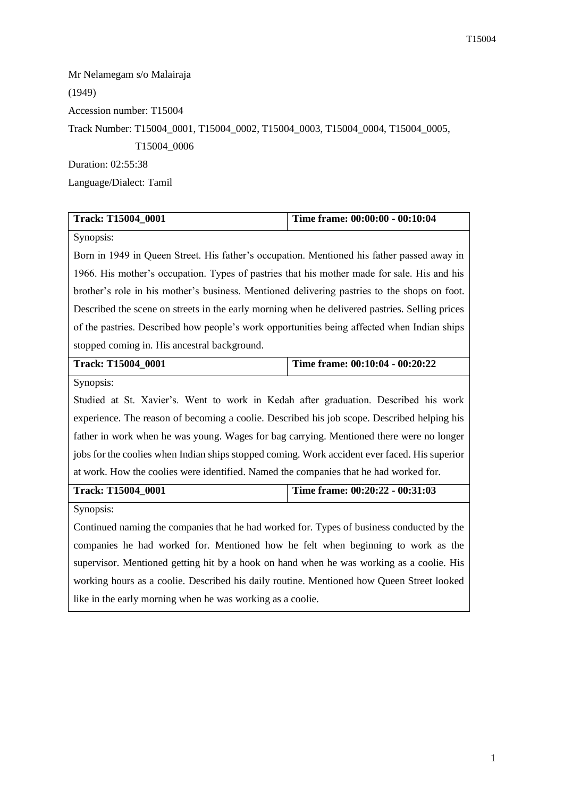Mr Nelamegam s/o Malairaja (1949) Accession number: T15004 Track Number: T15004\_0001, T15004\_0002, T15004\_0003, T15004\_0004, T15004\_0005, T15004\_0006 Duration: 02:55:38 Language/Dialect: Tamil

| Track: T15004_0001                                                                             | Time frame: 00:00:00 - 00:10:04 |  |
|------------------------------------------------------------------------------------------------|---------------------------------|--|
| Synopsis:                                                                                      |                                 |  |
| Born in 1949 in Queen Street. His father's occupation. Mentioned his father passed away in     |                                 |  |
| 1966. His mother's occupation. Types of pastries that his mother made for sale. His and his    |                                 |  |
| brother's role in his mother's business. Mentioned delivering pastries to the shops on foot.   |                                 |  |
| Described the scene on streets in the early morning when he delivered pastries. Selling prices |                                 |  |
| of the pastries. Described how people's work opportunities being affected when Indian ships    |                                 |  |
| stopped coming in. His ancestral background.                                                   |                                 |  |
| Track: T15004_0001                                                                             | Time frame: 00:10:04 - 00:20:22 |  |
| Synopsis:                                                                                      |                                 |  |
| Studied at St. Xavier's. Went to work in Kedah after graduation. Described his work            |                                 |  |
| experience. The reason of becoming a coolie. Described his job scope. Described helping his    |                                 |  |
| father in work when he was young. Wages for bag carrying. Mentioned there were no longer       |                                 |  |
| jobs for the coolies when Indian ships stopped coming. Work accident ever faced. His superior  |                                 |  |
| at work. How the coolies were identified. Named the companies that he had worked for.          |                                 |  |
| Track: T15004_0001                                                                             | Time frame: 00:20:22 - 00:31:03 |  |
| Synopsis:                                                                                      |                                 |  |
| Continued naming the companies that he had worked for. Types of business conducted by the      |                                 |  |
| companies he had worked for. Mentioned how he felt when beginning to work as the               |                                 |  |
| supervisor. Mentioned getting hit by a hook on hand when he was working as a coolie. His       |                                 |  |
| working hours as a coolie. Described his daily routine. Mentioned how Queen Street looked      |                                 |  |
| like in the early morning when he was working as a coolie.                                     |                                 |  |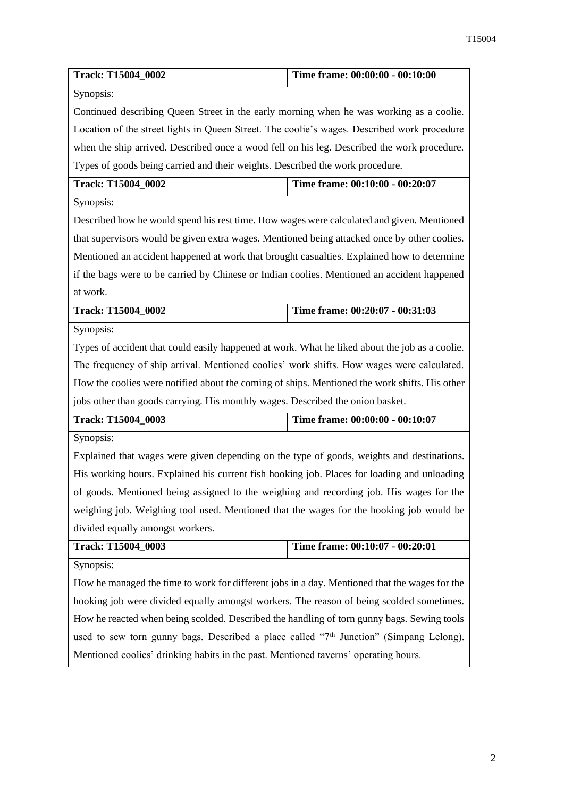| Track: T15004_0002                                                                                 | Time frame: 00:00:00 - 00:10:00 |  |
|----------------------------------------------------------------------------------------------------|---------------------------------|--|
| Synopsis:                                                                                          |                                 |  |
| Continued describing Queen Street in the early morning when he was working as a coolie.            |                                 |  |
| Location of the street lights in Queen Street. The coolie's wages. Described work procedure        |                                 |  |
| when the ship arrived. Described once a wood fell on his leg. Described the work procedure.        |                                 |  |
| Types of goods being carried and their weights. Described the work procedure.                      |                                 |  |
| Track: T15004_0002                                                                                 | Time frame: 00:10:00 - 00:20:07 |  |
| Synopsis:                                                                                          |                                 |  |
| Described how he would spend his rest time. How wages were calculated and given. Mentioned         |                                 |  |
| that supervisors would be given extra wages. Mentioned being attacked once by other coolies.       |                                 |  |
| Mentioned an accident happened at work that brought casualties. Explained how to determine         |                                 |  |
| if the bags were to be carried by Chinese or Indian coolies. Mentioned an accident happened        |                                 |  |
| at work.                                                                                           |                                 |  |
| Track: T15004_0002                                                                                 | Time frame: 00:20:07 - 00:31:03 |  |
| Synopsis:                                                                                          |                                 |  |
| Types of accident that could easily happened at work. What he liked about the job as a coolie.     |                                 |  |
| The frequency of ship arrival. Mentioned coolies' work shifts. How wages were calculated.          |                                 |  |
| How the coolies were notified about the coming of ships. Mentioned the work shifts. His other      |                                 |  |
| jobs other than goods carrying. His monthly wages. Described the onion basket.                     |                                 |  |
| Track: T15004_0003                                                                                 | Time frame: 00:00:00 - 00:10:07 |  |
| Synopsis:                                                                                          |                                 |  |
| Explained that wages were given depending on the type of goods, weights and destinations.          |                                 |  |
| His working hours. Explained his current fish hooking job. Places for loading and unloading        |                                 |  |
| of goods. Mentioned being assigned to the weighing and recording job. His wages for the            |                                 |  |
| weighing job. Weighing tool used. Mentioned that the wages for the hooking job would be            |                                 |  |
| divided equally amongst workers.                                                                   |                                 |  |
| Track: T15004_0003                                                                                 | Time frame: 00:10:07 - 00:20:01 |  |
| Synopsis:                                                                                          |                                 |  |
| How he managed the time to work for different jobs in a day. Mentioned that the wages for the      |                                 |  |
| hooking job were divided equally amongst workers. The reason of being scolded sometimes.           |                                 |  |
| How he reacted when being scolded. Described the handling of torn gunny bags. Sewing tools         |                                 |  |
| used to sew torn gunny bags. Described a place called "7 <sup>th</sup> Junction" (Simpang Lelong). |                                 |  |
| Mentioned coolies' drinking habits in the past. Mentioned taverns' operating hours.                |                                 |  |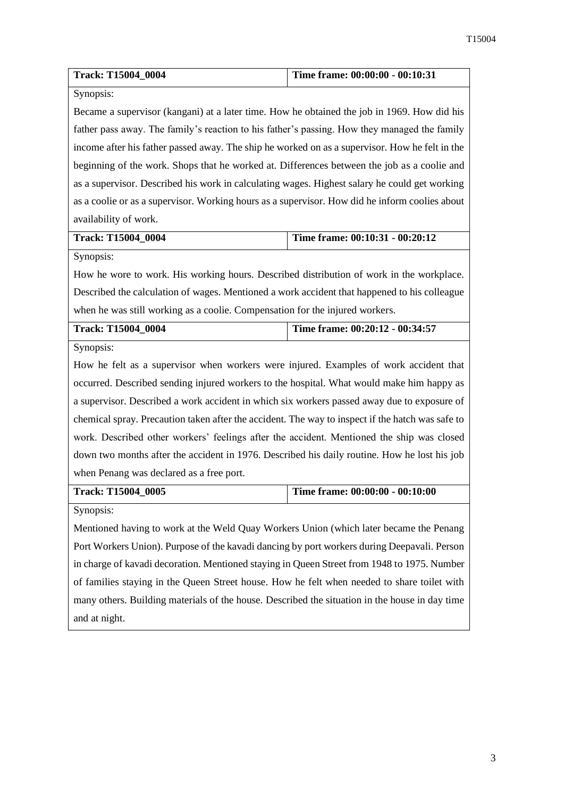| Track: T15004_0004                                                                               | Time frame: 00:00:00 - 00:10:31 |  |
|--------------------------------------------------------------------------------------------------|---------------------------------|--|
| Synopsis:                                                                                        |                                 |  |
| Became a supervisor (kangani) at a later time. How he obtained the job in 1969. How did his      |                                 |  |
| father pass away. The family's reaction to his father's passing. How they managed the family     |                                 |  |
| income after his father passed away. The ship he worked on as a supervisor. How he felt in the   |                                 |  |
| beginning of the work. Shops that he worked at. Differences between the job as a coolie and      |                                 |  |
| as a supervisor. Described his work in calculating wages. Highest salary he could get working    |                                 |  |
| as a coolie or as a supervisor. Working hours as a supervisor. How did he inform coolies about   |                                 |  |
| availability of work.                                                                            |                                 |  |
| Track: T15004_0004                                                                               | Time frame: 00:10:31 - 00:20:12 |  |
| Synopsis:                                                                                        |                                 |  |
| How he wore to work. His working hours. Described distribution of work in the workplace.         |                                 |  |
| Described the calculation of wages. Mentioned a work accident that happened to his colleague     |                                 |  |
| when he was still working as a coolie. Compensation for the injured workers.                     |                                 |  |
|                                                                                                  |                                 |  |
| Track: T15004_0004                                                                               | Time frame: 00:20:12 - 00:34:57 |  |
| Synopsis:                                                                                        |                                 |  |
| How he felt as a supervisor when workers were injured. Examples of work accident that            |                                 |  |
| occurred. Described sending injured workers to the hospital. What would make him happy as        |                                 |  |
| a supervisor. Described a work accident in which six workers passed away due to exposure of      |                                 |  |
| chemical spray. Precaution taken after the accident. The way to inspect if the hatch was safe to |                                 |  |
| work. Described other workers' feelings after the accident. Mentioned the ship was closed        |                                 |  |
| down two months after the accident in 1976. Described his daily routine. How he lost his job     |                                 |  |
| when Penang was declared as a free port.                                                         |                                 |  |
| Track: T15004_0005                                                                               | Time frame: 00:00:00 - 00:10:00 |  |
| Synopsis:                                                                                        |                                 |  |
| Mentioned having to work at the Weld Quay Workers Union (which later became the Penang           |                                 |  |
| Port Workers Union). Purpose of the kavadi dancing by port workers during Deepavali. Person      |                                 |  |

of families staying in the Queen Street house. How he felt when needed to share toilet with many others. Building materials of the house. Described the situation in the house in day time and at night.